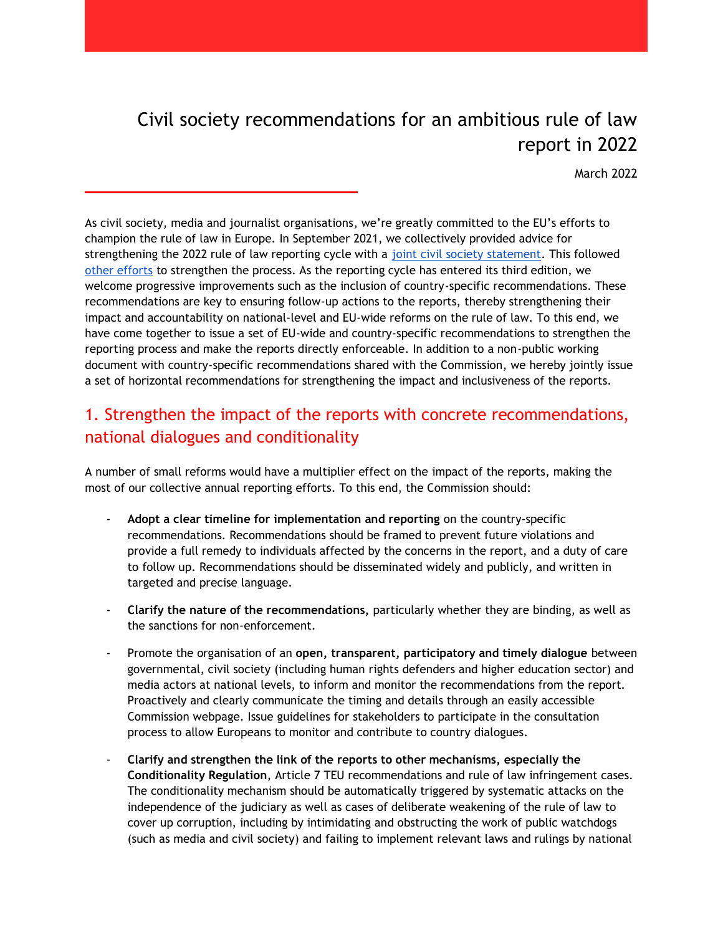# Civil society recommendations for an ambitious rule of law report in 2022

March 2022

As civil society, media and journalist organisations, we're greatly committed to the EU's efforts to champion the rule of law in Europe. In September 2021, we collectively provided advice for strengthening the 2022 rule of law reporting cycle with a [joint civil society statement.](https://epd.eu/2021/09/22/cso-statement-eu-ruleoflaw/) This followed [other efforts](https://hrdn.eu/2017/wp-content/uploads/2021/06/Submission-to-the-European-Commission-in-the-framework-of-the-Second-Annual-Rule-of-Law-Review-Cycle-1.pdf) to strengthen the process. As the reporting cycle has entered its third edition, we welcome progressive improvements such as the inclusion of country-specific recommendations. These recommendations are key to ensuring follow-up actions to the reports, thereby strengthening their impact and accountability on national-level and EU-wide reforms on the rule of law. To this end, we have come together to issue a set of EU-wide and country-specific recommendations to strengthen the reporting process and make the reports directly enforceable. In addition to a non-public working document with country-specific recommendations shared with the Commission, we hereby jointly issue a set of horizontal recommendations for strengthening the impact and inclusiveness of the reports.

## 1. Strengthen the impact of the reports with concrete recommendations, national dialogues and conditionality

A number of small reforms would have a multiplier effect on the impact of the reports, making the most of our collective annual reporting efforts. To this end, the Commission should:

- Adopt a clear timeline for implementation and reporting on the country-specific recommendations. Recommendations should be framed to prevent future violations and provide a full remedy to individuals affected by the concerns in the report, and a duty of care to follow up. Recommendations should be disseminated widely and publicly, and written in targeted and precise language.
- **Clarify the nature of the recommendations,** particularly whether they are binding, as well as the sanctions for non-enforcement.
- Promote the organisation of an **open, transparent, participatory and timely dialogue** between governmental, civil society (including human rights defenders and higher education sector) and media actors at national levels, to inform and monitor the recommendations from the report. Proactively and clearly communicate the timing and details through an easily accessible Commission webpage. Issue guidelines for stakeholders to participate in the consultation process to allow Europeans to monitor and contribute to country dialogues.
- **Clarify and strengthen the link of the reports to other mechanisms, especially the Conditionality Regulation**, Article 7 TEU recommendations and rule of law infringement cases. The conditionality mechanism should be automatically triggered by systematic attacks on the independence of the judiciary as well as cases of deliberate weakening of the rule of law to cover up corruption, including by intimidating and obstructing the work of public watchdogs (such as media and civil society) and failing to implement relevant laws and rulings by national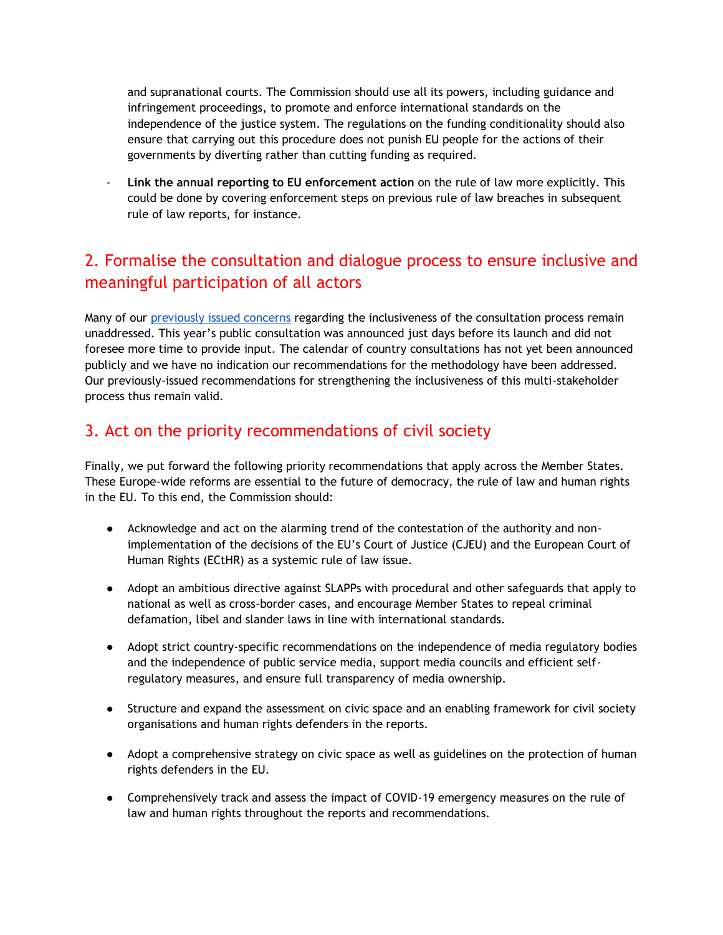and supranational courts. The Commission should use all its powers, including guidance and infringement proceedings, to promote and enforce international standards on the independence of the justice system. The regulations on the funding conditionality should also ensure that carrying out this procedure does not punish EU people for the actions of their governments by diverting rather than cutting funding as required.

- **Link the annual reporting to EU enforcement action** on the rule of law more explicitly. This could be done by covering enforcement steps on previous rule of law breaches in subsequent rule of law reports, for instance.

### 2. Formalise the consultation and dialogue process to ensure inclusive and meaningful participation of all actors

Many of our [previously issued concerns](https://epd.eu/2021/09/22/cso-statement-eu-ruleoflaw/) regarding the inclusiveness of the consultation process remain unaddressed. This year's public consultation was announced just days before its launch and did not foresee more time to provide input. The calendar of country consultations has not yet been announced publicly and we have no indication our recommendations for the methodology have been addressed. Our previously-issued recommendations for strengthening the inclusiveness of this multi-stakeholder process thus remain valid.

#### 3. Act on the priority recommendations of civil society

Finally, we put forward the following priority recommendations that apply across the Member States. These Europe-wide reforms are essential to the future of democracy, the rule of law and human rights in the EU. To this end, the Commission should:

- Acknowledge and act on the alarming trend of the contestation of the authority and nonimplementation of the decisions of the EU's Court of Justice (CJEU) and the European Court of Human Rights (ECtHR) as a systemic rule of law issue.
- Adopt an ambitious directive against SLAPPs with procedural and other safeguards that apply to national as well as cross-border cases, and encourage Member States to repeal criminal defamation, libel and slander laws in line with international standards.
- Adopt strict country-specific recommendations on the independence of media regulatory bodies and the independence of public service media, support media councils and efficient selfregulatory measures, and ensure full transparency of media ownership.
- Structure and expand the assessment on civic space and an enabling framework for civil society organisations and human rights defenders in the reports.
- Adopt a comprehensive strategy on civic space as well as guidelines on the protection of human rights defenders in the EU.
- Comprehensively track and assess the impact of COVID-19 emergency measures on the rule of law and human rights throughout the reports and recommendations.